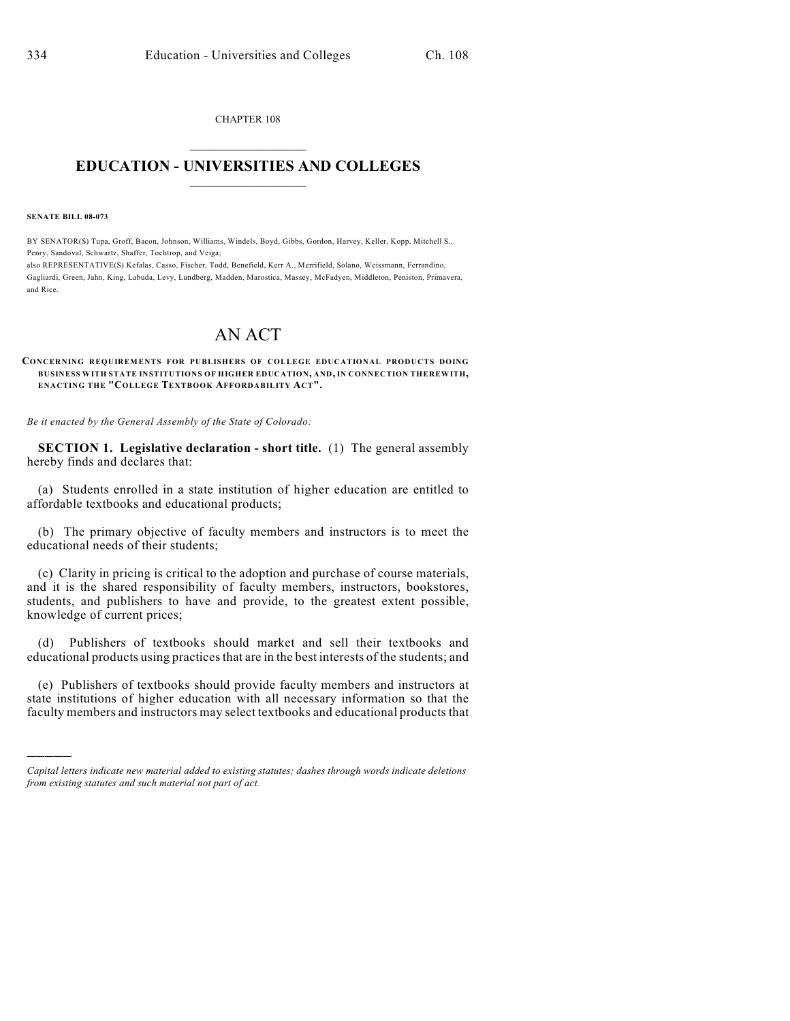CHAPTER 108  $\overline{\phantom{a}}$  . The set of the set of the set of the set of the set of the set of the set of the set of the set of the set of the set of the set of the set of the set of the set of the set of the set of the set of the set o

## **EDUCATION - UNIVERSITIES AND COLLEGES**  $\_$

**SENATE BILL 08-073**

)))))

BY SENATOR(S) Tupa, Groff, Bacon, Johnson, Williams, Windels, Boyd, Gibbs, Gordon, Harvey, Keller, Kopp, Mitchell S., Penry, Sandoval, Schwartz, Shaffer, Tochtrop, and Veiga; also REPRESENTATIVE(S) Kefalas, Casso, Fischer, Todd, Benefield, Kerr A., Merrifield, Solano, Weissmann, Ferrandino,

Gagliardi, Green, Jahn, King, Labuda, Levy, Lundberg, Madden, Marostica, Massey, McFadyen, Middleton, Peniston, Primavera, and Rice.

## AN ACT

## **CONCERNING REQUIREMENTS FOR PUBLISHERS OF COLLEGE EDUCATIONAL PRODUCTS DOING BUSINESS WITH STATE INSTITUTIONS OF HIGHER EDUCATION, AND, IN CONNECTION THEREWITH, ENACTING THE "COLLEGE TEXTBOOK AFFORDABILITY ACT".**

*Be it enacted by the General Assembly of the State of Colorado:*

**SECTION 1. Legislative declaration - short title.** (1) The general assembly hereby finds and declares that:

(a) Students enrolled in a state institution of higher education are entitled to affordable textbooks and educational products;

(b) The primary objective of faculty members and instructors is to meet the educational needs of their students;

(c) Clarity in pricing is critical to the adoption and purchase of course materials, and it is the shared responsibility of faculty members, instructors, bookstores, students, and publishers to have and provide, to the greatest extent possible, knowledge of current prices;

(d) Publishers of textbooks should market and sell their textbooks and educational products using practices that are in the best interests of the students; and

(e) Publishers of textbooks should provide faculty members and instructors at state institutions of higher education with all necessary information so that the faculty members and instructors may select textbooks and educational products that

*Capital letters indicate new material added to existing statutes; dashes through words indicate deletions from existing statutes and such material not part of act.*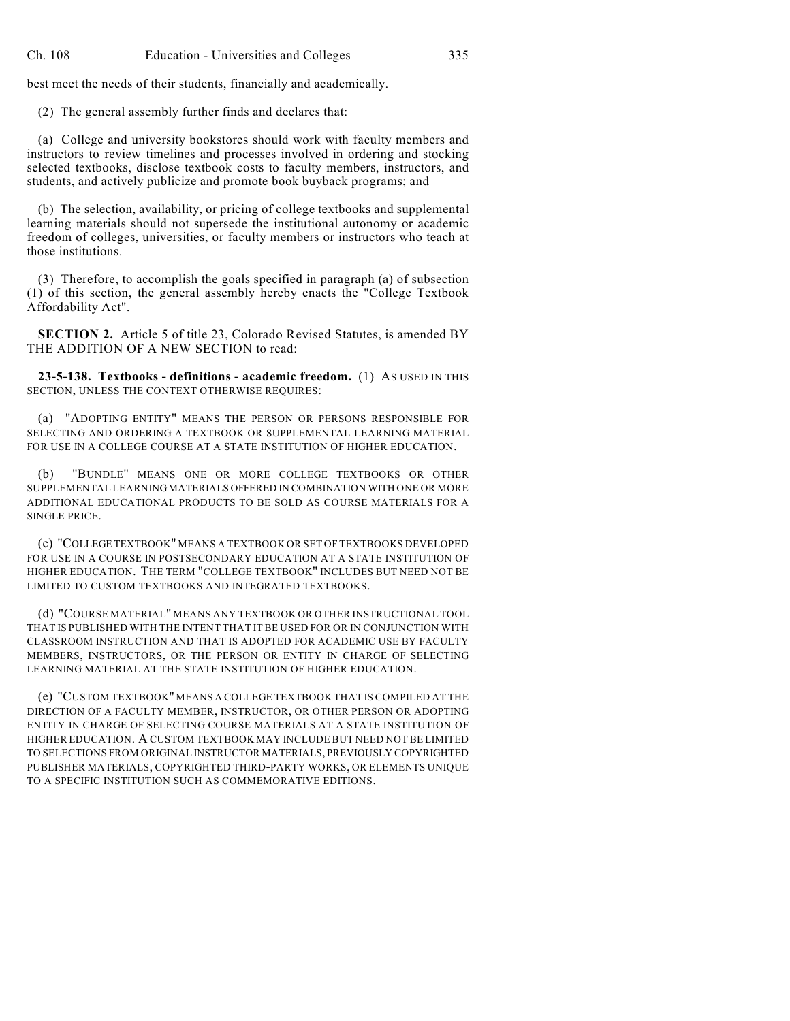best meet the needs of their students, financially and academically.

(2) The general assembly further finds and declares that:

(a) College and university bookstores should work with faculty members and instructors to review timelines and processes involved in ordering and stocking selected textbooks, disclose textbook costs to faculty members, instructors, and students, and actively publicize and promote book buyback programs; and

(b) The selection, availability, or pricing of college textbooks and supplemental learning materials should not supersede the institutional autonomy or academic freedom of colleges, universities, or faculty members or instructors who teach at those institutions.

(3) Therefore, to accomplish the goals specified in paragraph (a) of subsection (1) of this section, the general assembly hereby enacts the "College Textbook Affordability Act".

**SECTION 2.** Article 5 of title 23, Colorado Revised Statutes, is amended BY THE ADDITION OF A NEW SECTION to read:

**23-5-138. Textbooks - definitions - academic freedom.** (1) AS USED IN THIS SECTION, UNLESS THE CONTEXT OTHERWISE REQUIRES:

(a) "ADOPTING ENTITY" MEANS THE PERSON OR PERSONS RESPONSIBLE FOR SELECTING AND ORDERING A TEXTBOOK OR SUPPLEMENTAL LEARNING MATERIAL FOR USE IN A COLLEGE COURSE AT A STATE INSTITUTION OF HIGHER EDUCATION.

(b) "BUNDLE" MEANS ONE OR MORE COLLEGE TEXTBOOKS OR OTHER SUPPLEMENTAL LEARNING MATERIALS OFFERED IN COMBINATION WITH ONE OR MORE ADDITIONAL EDUCATIONAL PRODUCTS TO BE SOLD AS COURSE MATERIALS FOR A SINGLE PRICE.

(c) "COLLEGE TEXTBOOK" MEANS A TEXTBOOK OR SET OF TEXTBOOKS DEVELOPED FOR USE IN A COURSE IN POSTSECONDARY EDUCATION AT A STATE INSTITUTION OF HIGHER EDUCATION. THE TERM "COLLEGE TEXTBOOK" INCLUDES BUT NEED NOT BE LIMITED TO CUSTOM TEXTBOOKS AND INTEGRATED TEXTBOOKS.

(d) "COURSE MATERIAL" MEANS ANY TEXTBOOK OR OTHER INSTRUCTIONAL TOOL THAT IS PUBLISHED WITH THE INTENT THAT IT BE USED FOR OR IN CONJUNCTION WITH CLASSROOM INSTRUCTION AND THAT IS ADOPTED FOR ACADEMIC USE BY FACULTY MEMBERS, INSTRUCTORS, OR THE PERSON OR ENTITY IN CHARGE OF SELECTING LEARNING MATERIAL AT THE STATE INSTITUTION OF HIGHER EDUCATION.

(e) "CUSTOM TEXTBOOK" MEANS A COLLEGE TEXTBOOK THAT IS COMPILED AT THE DIRECTION OF A FACULTY MEMBER, INSTRUCTOR, OR OTHER PERSON OR ADOPTING ENTITY IN CHARGE OF SELECTING COURSE MATERIALS AT A STATE INSTITUTION OF HIGHER EDUCATION. A CUSTOM TEXTBOOK MAY INCLUDE BUT NEED NOT BE LIMITED TO SELECTIONS FROM ORIGINAL INSTRUCTOR MATERIALS, PREVIOUSLY COPYRIGHTED PUBLISHER MATERIALS, COPYRIGHTED THIRD-PARTY WORKS, OR ELEMENTS UNIQUE TO A SPECIFIC INSTITUTION SUCH AS COMMEMORATIVE EDITIONS.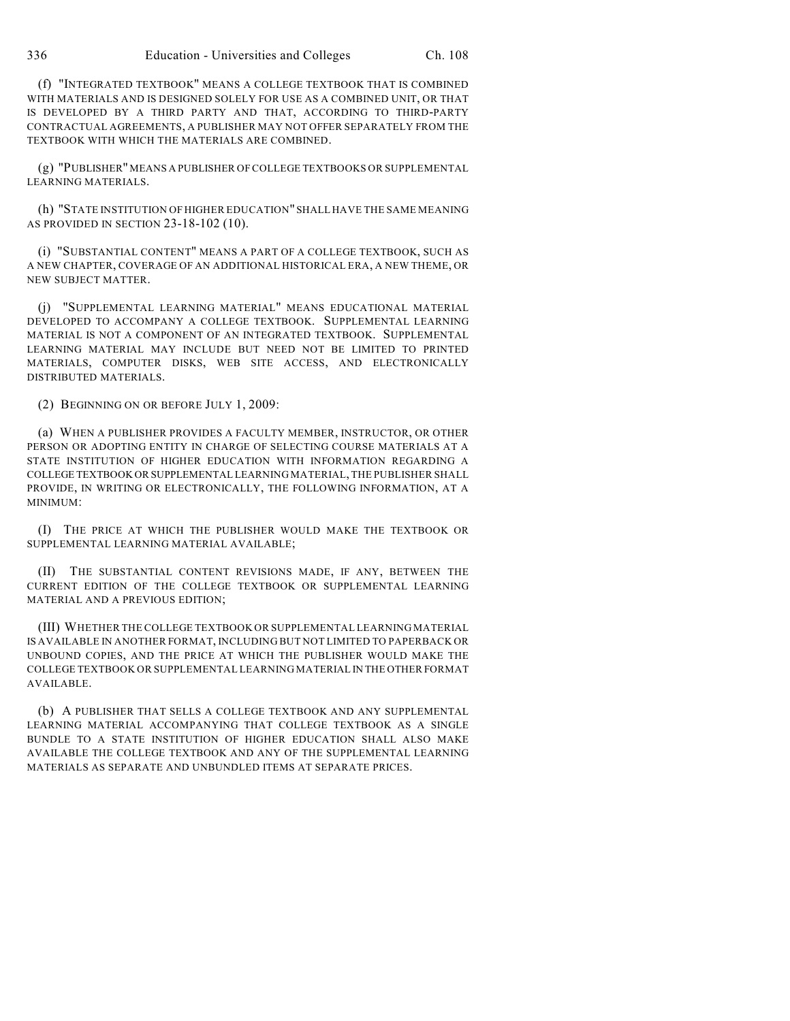(f) "INTEGRATED TEXTBOOK" MEANS A COLLEGE TEXTBOOK THAT IS COMBINED WITH MATERIALS AND IS DESIGNED SOLELY FOR USE AS A COMBINED UNIT, OR THAT IS DEVELOPED BY A THIRD PARTY AND THAT, ACCORDING TO THIRD-PARTY CONTRACTUAL AGREEMENTS, A PUBLISHER MAY NOT OFFER SEPARATELY FROM THE TEXTBOOK WITH WHICH THE MATERIALS ARE COMBINED.

(g) "PUBLISHER" MEANS A PUBLISHER OF COLLEGE TEXTBOOKS OR SUPPLEMENTAL LEARNING MATERIALS.

(h) "STATE INSTITUTION OF HIGHER EDUCATION" SHALL HAVE THE SAME MEANING AS PROVIDED IN SECTION 23-18-102 (10).

(i) "SUBSTANTIAL CONTENT" MEANS A PART OF A COLLEGE TEXTBOOK, SUCH AS A NEW CHAPTER, COVERAGE OF AN ADDITIONAL HISTORICAL ERA, A NEW THEME, OR NEW SUBJECT MATTER.

(j) "SUPPLEMENTAL LEARNING MATERIAL" MEANS EDUCATIONAL MATERIAL DEVELOPED TO ACCOMPANY A COLLEGE TEXTBOOK. SUPPLEMENTAL LEARNING MATERIAL IS NOT A COMPONENT OF AN INTEGRATED TEXTBOOK. SUPPLEMENTAL LEARNING MATERIAL MAY INCLUDE BUT NEED NOT BE LIMITED TO PRINTED MATERIALS, COMPUTER DISKS, WEB SITE ACCESS, AND ELECTRONICALLY DISTRIBUTED MATERIALS.

(2) BEGINNING ON OR BEFORE JULY 1, 2009:

(a) WHEN A PUBLISHER PROVIDES A FACULTY MEMBER, INSTRUCTOR, OR OTHER PERSON OR ADOPTING ENTITY IN CHARGE OF SELECTING COURSE MATERIALS AT A STATE INSTITUTION OF HIGHER EDUCATION WITH INFORMATION REGARDING A COLLEGE TEXTBOOK OR SUPPLEMENTAL LEARNING MATERIAL, THE PUBLISHER SHALL PROVIDE, IN WRITING OR ELECTRONICALLY, THE FOLLOWING INFORMATION, AT A MINIMUM:

(I) THE PRICE AT WHICH THE PUBLISHER WOULD MAKE THE TEXTBOOK OR SUPPLEMENTAL LEARNING MATERIAL AVAILABLE;

(II) THE SUBSTANTIAL CONTENT REVISIONS MADE, IF ANY, BETWEEN THE CURRENT EDITION OF THE COLLEGE TEXTBOOK OR SUPPLEMENTAL LEARNING MATERIAL AND A PREVIOUS EDITION;

(III) WHETHER THE COLLEGE TEXTBOOK OR SUPPLEMENTAL LEARNING MATERIAL IS AVAILABLE IN ANOTHER FORMAT, INCLUDING BUT NOT LIMITED TO PAPERBACK OR UNBOUND COPIES, AND THE PRICE AT WHICH THE PUBLISHER WOULD MAKE THE COLLEGE TEXTBOOK OR SUPPLEMENTAL LEARNING MATERIAL IN THE OTHER FORMAT AVAILABLE.

(b) A PUBLISHER THAT SELLS A COLLEGE TEXTBOOK AND ANY SUPPLEMENTAL LEARNING MATERIAL ACCOMPANYING THAT COLLEGE TEXTBOOK AS A SINGLE BUNDLE TO A STATE INSTITUTION OF HIGHER EDUCATION SHALL ALSO MAKE AVAILABLE THE COLLEGE TEXTBOOK AND ANY OF THE SUPPLEMENTAL LEARNING MATERIALS AS SEPARATE AND UNBUNDLED ITEMS AT SEPARATE PRICES.